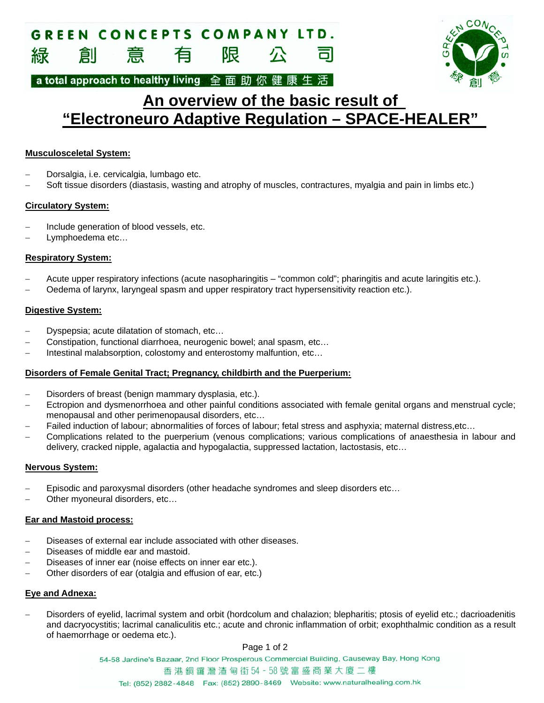#### **GREEN CONCEPTS COMPANY LTD.** 限 創 意 有 緑



a total approach to healthy living 全面助你健康生活

# **An overview of the basic result of "Electroneuro Adaptive Regulation – SPACE-HEALER"**

# **Musculosceletal System:**

- Dorsalgia, i.e. cervicalgia, lumbago etc.
- Soft tissue disorders (diastasis, wasting and atrophy of muscles, contractures, myalgia and pain in limbs etc.)

# **Circulatory System:**

- Include generation of blood vessels, etc.
- Lymphoedema etc…

# **Respiratory System:**

- Acute upper respiratory infections (acute nasopharingitis "common cold"; pharingitis and acute laringitis etc.).
- Oedema of larynx, laryngeal spasm and upper respiratory tract hypersensitivity reaction etc.).

### **Digestive System:**

- Dyspepsia; acute dilatation of stomach, etc…
- Constipation, functional diarrhoea, neurogenic bowel; anal spasm, etc…
- Intestinal malabsorption, colostomy and enterostomy malfuntion, etc…

### **Disorders of Female Genital Tract; Pregnancy, childbirth and the Puerperium:**

- Disorders of breast (benign mammary dysplasia, etc.).
- Ectropion and dysmenorrhoea and other painful conditions associated with female genital organs and menstrual cycle; menopausal and other perimenopausal disorders, etc…
- Failed induction of labour; abnormalities of forces of labour; fetal stress and asphyxia; maternal distress,etc…
- Complications related to the puerperium (venous complications; various complications of anaesthesia in labour and delivery, cracked nipple, agalactia and hypogalactia, suppressed lactation, lactostasis, etc…

### **Nervous System:**

- Episodic and paroxysmal disorders (other headache syndromes and sleep disorders etc…
- Other myoneural disorders, etc…

### **Ear and Mastoid process:**

- Diseases of external ear include associated with other diseases.
- Diseases of middle ear and mastoid.
- Diseases of inner ear (noise effects on inner ear etc.).
- Other disorders of ear (otalgia and effusion of ear, etc.)

### **Eye and Adnexa:**

 Disorders of eyelid, lacrimal system and orbit (hordcolum and chalazion; blepharitis; ptosis of eyelid etc.; dacrioadenitis and dacryocystitis; lacrimal canaliculitis etc.; acute and chronic inflammation of orbit; exophthalmic condition as a result of haemorrhage or oedema etc.).

### Page 1 of 2

54-58 Jardine's Bazaar, 2nd Floor Prosperous Commercial Building, Causeway Bay, Hong Kong 香港銅鑼灣渣甸街54-58號富盛商業大廈二樓 Tel: (852) 2882-4848 Fax: (852) 2890-8469 Website: www.naturalhealing.com.hk